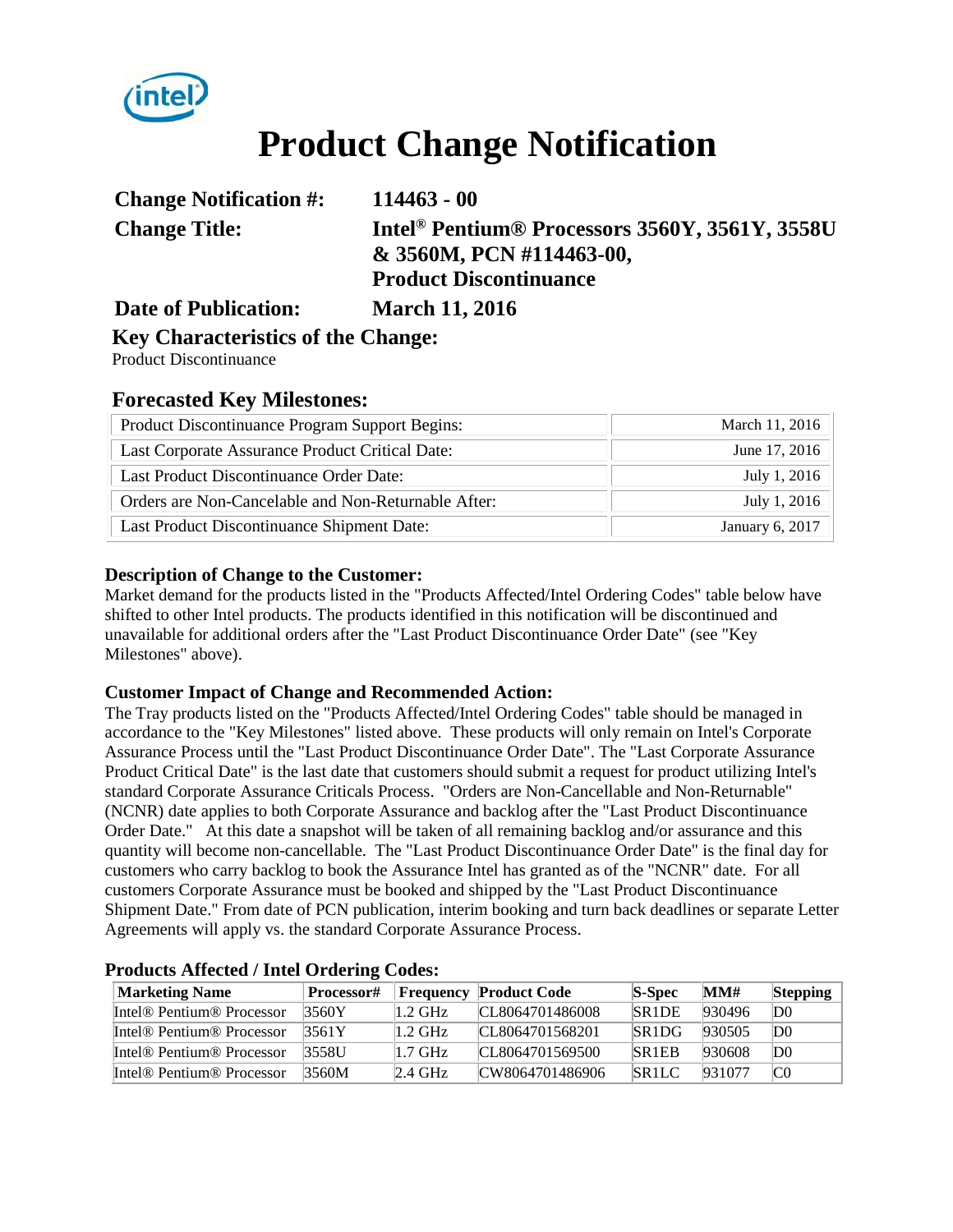

# **Product Change Notification**

**Change Notification #: 114463 - 00**

**Change Title: Intel® Pentium® Processors 3560Y, 3561Y, 3558U & 3560M, PCN #114463-00, Product Discontinuance**

**Date of Publication: March 11, 2016**

## **Key Characteristics of the Change:**

Product Discontinuance

### **Forecasted Key Milestones:**

| Product Discontinuance Program Support Begins:      | March 11, 2016  |
|-----------------------------------------------------|-----------------|
| Last Corporate Assurance Product Critical Date:     | June 17, 2016   |
| Last Product Discontinuance Order Date:             | July 1, 2016    |
| Orders are Non-Cancelable and Non-Returnable After: | July 1, 2016    |
| Last Product Discontinuance Shipment Date:          | January 6, 2017 |

#### **Description of Change to the Customer:**

Market demand for the products listed in the "Products Affected/Intel Ordering Codes" table below have shifted to other Intel products. The products identified in this notification will be discontinued and unavailable for additional orders after the "Last Product Discontinuance Order Date" (see "Key Milestones" above).

#### **Customer Impact of Change and Recommended Action:**

The Tray products listed on the "Products Affected/Intel Ordering Codes" table should be managed in accordance to the "Key Milestones" listed above. These products will only remain on Intel's Corporate Assurance Process until the "Last Product Discontinuance Order Date". The "Last Corporate Assurance Product Critical Date" is the last date that customers should submit a request for product utilizing Intel's standard Corporate Assurance Criticals Process. "Orders are Non-Cancellable and Non-Returnable" (NCNR) date applies to both Corporate Assurance and backlog after the "Last Product Discontinuance Order Date." At this date a snapshot will be taken of all remaining backlog and/or assurance and this quantity will become non-cancellable. The "Last Product Discontinuance Order Date" is the final day for customers who carry backlog to book the Assurance Intel has granted as of the "NCNR" date. For all customers Corporate Assurance must be booked and shipped by the "Last Product Discontinuance Shipment Date." From date of PCN publication, interim booking and turn back deadlines or separate Letter Agreements will apply vs. the standard Corporate Assurance Process.

| <b>Marketing Name</b>                             | Processor# |           | <b>Frequency Product Code</b> | $S-Spec$ | MM#    | <b>Stepping</b> |  |  |
|---------------------------------------------------|------------|-----------|-------------------------------|----------|--------|-----------------|--|--|
| Intel <sup>®</sup> Pentium <sup>®</sup> Processor | 3560Y      | 1.2 GHz   | CL8064701486008               | SR1DE    | 930496 | D <sub>0</sub>  |  |  |
| Intel <sup>®</sup> Pentium <sup>®</sup> Processor | 3561 Y     | $1.2$ GHz | CL8064701568201               | SR1DG    | 930505 | D <sub>0</sub>  |  |  |
| Intel <sup>®</sup> Pentium <sup>®</sup> Processor | 3558U      | $1.7$ GHz | CL8064701569500               | SR1ER    | 930608 | D <sub>0</sub>  |  |  |
| Intel <sup>®</sup> Pentium <sup>®</sup> Processor | 3560M      | 2.4 GHz   | CW8064701486906               | SR1LC    | 931077 | IC0             |  |  |

### **Products Affected / Intel Ordering Codes:**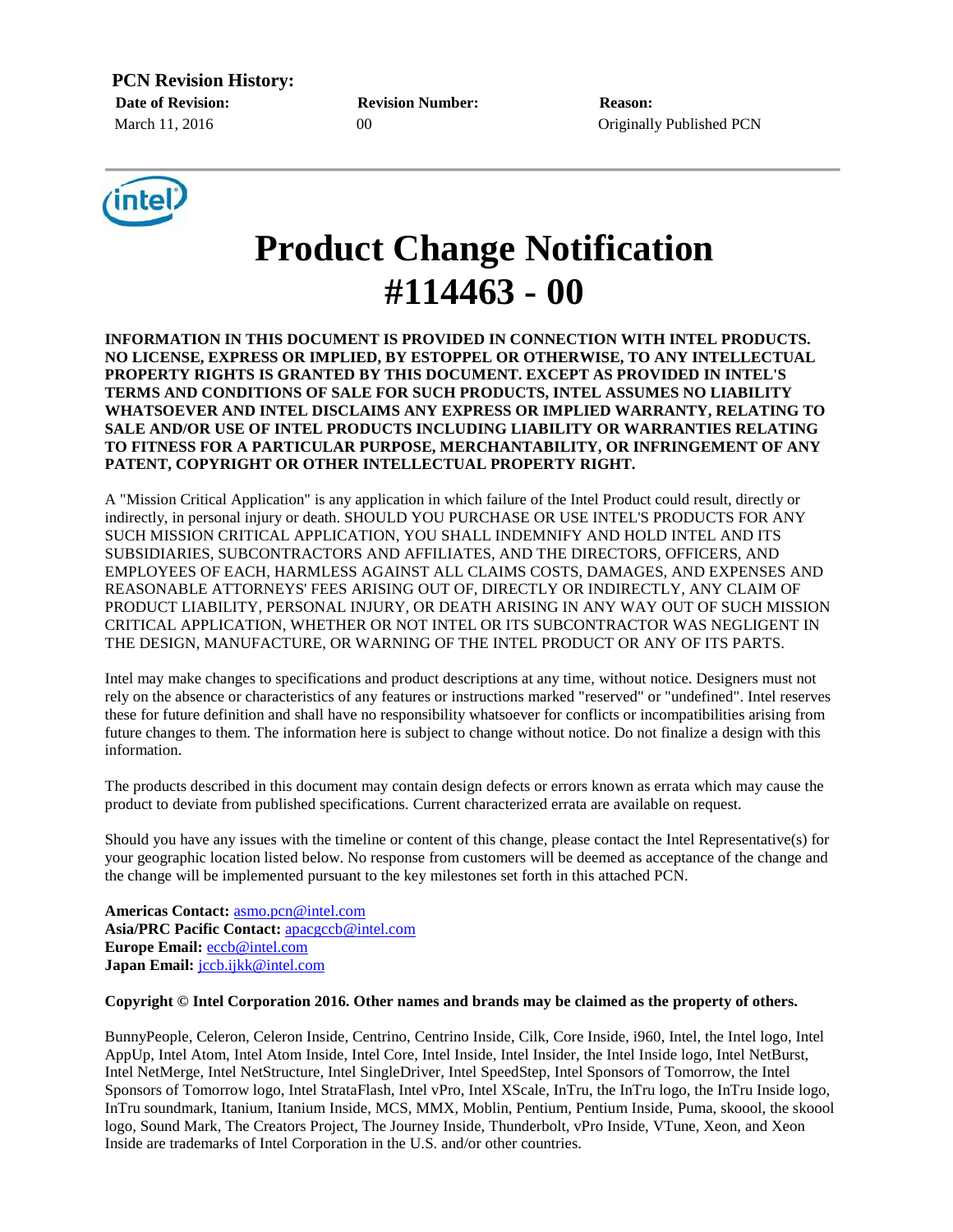**PCN Revision History: Date of Revision: Revision Number: Reason:** March 11, 2016 00 00 Originally Published PCN



## **Product Change Notification #114463 - 00**

**INFORMATION IN THIS DOCUMENT IS PROVIDED IN CONNECTION WITH INTEL PRODUCTS. NO LICENSE, EXPRESS OR IMPLIED, BY ESTOPPEL OR OTHERWISE, TO ANY INTELLECTUAL PROPERTY RIGHTS IS GRANTED BY THIS DOCUMENT. EXCEPT AS PROVIDED IN INTEL'S TERMS AND CONDITIONS OF SALE FOR SUCH PRODUCTS, INTEL ASSUMES NO LIABILITY WHATSOEVER AND INTEL DISCLAIMS ANY EXPRESS OR IMPLIED WARRANTY, RELATING TO SALE AND/OR USE OF INTEL PRODUCTS INCLUDING LIABILITY OR WARRANTIES RELATING TO FITNESS FOR A PARTICULAR PURPOSE, MERCHANTABILITY, OR INFRINGEMENT OF ANY PATENT, COPYRIGHT OR OTHER INTELLECTUAL PROPERTY RIGHT.** 

A "Mission Critical Application" is any application in which failure of the Intel Product could result, directly or indirectly, in personal injury or death. SHOULD YOU PURCHASE OR USE INTEL'S PRODUCTS FOR ANY SUCH MISSION CRITICAL APPLICATION, YOU SHALL INDEMNIFY AND HOLD INTEL AND ITS SUBSIDIARIES, SUBCONTRACTORS AND AFFILIATES, AND THE DIRECTORS, OFFICERS, AND EMPLOYEES OF EACH, HARMLESS AGAINST ALL CLAIMS COSTS, DAMAGES, AND EXPENSES AND REASONABLE ATTORNEYS' FEES ARISING OUT OF, DIRECTLY OR INDIRECTLY, ANY CLAIM OF PRODUCT LIABILITY, PERSONAL INJURY, OR DEATH ARISING IN ANY WAY OUT OF SUCH MISSION CRITICAL APPLICATION, WHETHER OR NOT INTEL OR ITS SUBCONTRACTOR WAS NEGLIGENT IN THE DESIGN, MANUFACTURE, OR WARNING OF THE INTEL PRODUCT OR ANY OF ITS PARTS.

Intel may make changes to specifications and product descriptions at any time, without notice. Designers must not rely on the absence or characteristics of any features or instructions marked "reserved" or "undefined". Intel reserves these for future definition and shall have no responsibility whatsoever for conflicts or incompatibilities arising from future changes to them. The information here is subject to change without notice. Do not finalize a design with this information.

The products described in this document may contain design defects or errors known as errata which may cause the product to deviate from published specifications. Current characterized errata are available on request.

Should you have any issues with the timeline or content of this change, please contact the Intel Representative(s) for your geographic location listed below. No response from customers will be deemed as acceptance of the change and the change will be implemented pursuant to the key milestones set forth in this attached PCN.

**Americas Contact:** [asmo.pcn@intel.com](mailto:asmo.pcn@intel.com) **Asia/PRC Pacific Contact:** [apacgccb@intel.com](mailto:apacgccb@intel.com) **Europe Email:** [eccb@intel.com](mailto:eccb@intel.com) **Japan Email:** [jccb.ijkk@intel.com](mailto:jccb.ijkk@intel.com)

#### **Copyright © Intel Corporation 2016. Other names and brands may be claimed as the property of others.**

BunnyPeople, Celeron, Celeron Inside, Centrino, Centrino Inside, Cilk, Core Inside, i960, Intel, the Intel logo, Intel AppUp, Intel Atom, Intel Atom Inside, Intel Core, Intel Inside, Intel Insider, the Intel Inside logo, Intel NetBurst, Intel NetMerge, Intel NetStructure, Intel SingleDriver, Intel SpeedStep, Intel Sponsors of Tomorrow, the Intel Sponsors of Tomorrow logo, Intel StrataFlash, Intel vPro, Intel XScale, InTru, the InTru logo, the InTru Inside logo, InTru soundmark, Itanium, Itanium Inside, MCS, MMX, Moblin, Pentium, Pentium Inside, Puma, skoool, the skoool logo, Sound Mark, The Creators Project, The Journey Inside, Thunderbolt, vPro Inside, VTune, Xeon, and Xeon Inside are trademarks of Intel Corporation in the U.S. and/or other countries.